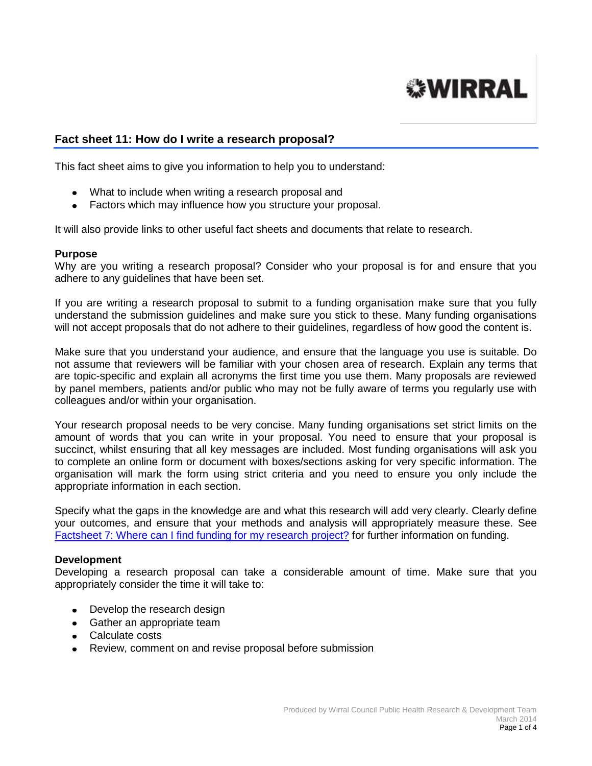

## **Fact sheet 11: How do I write a research proposal?**

This fact sheet aims to give you information to help you to understand:

- What to include when writing a research proposal and
- Factors which may influence how you structure your proposal.

It will also provide links to other useful fact sheets and documents that relate to research.

#### **Purpose**

Why are you writing a research proposal? Consider who your proposal is for and ensure that you adhere to any guidelines that have been set.

If you are writing a research proposal to submit to a funding organisation make sure that you fully understand the submission guidelines and make sure you stick to these. Many funding organisations will not accept proposals that do not adhere to their guidelines, regardless of how good the content is.

Make sure that you understand your audience, and ensure that the language you use is suitable. Do not assume that reviewers will be familiar with your chosen area of research. Explain any terms that are topic-specific and explain all acronyms the first time you use them. Many proposals are reviewed by panel members, patients and/or public who may not be fully aware of terms you regularly use with colleagues and/or within your organisation.

Your research proposal needs to be very concise. Many funding organisations set strict limits on the amount of words that you can write in your proposal. You need to ensure that your proposal is succinct, whilst ensuring that all key messages are included. Most funding organisations will ask you to complete an online form or document with boxes/sections asking for very specific information. The organisation will mark the form using strict criteria and you need to ensure you only include the appropriate information in each section.

Specify what the gaps in the knowledge are and what this research will add very clearly. Clearly define your outcomes, and ensure that your methods and analysis will appropriately measure these. See [Factsheet 7: Where can I find funding for my research project?](http://info.wirral.nhs.uk/intelligencehub/howtofact-sheetsonevidence&research.html) for further information on funding.

#### **Development**

Developing a research proposal can take a considerable amount of time. Make sure that you appropriately consider the time it will take to:

- Develop the research design
- Gather an appropriate team
- Calculate costs
- Review, comment on and revise proposal before submission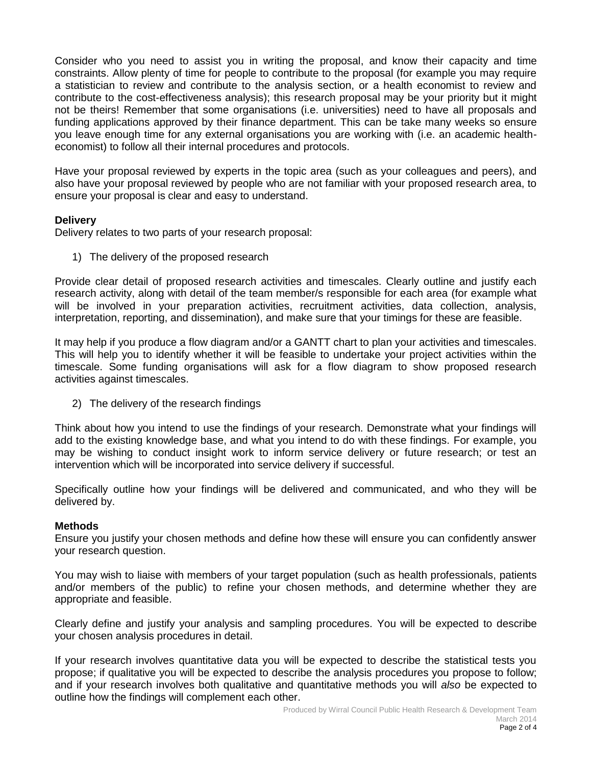Consider who you need to assist you in writing the proposal, and know their capacity and time constraints. Allow plenty of time for people to contribute to the proposal (for example you may require a statistician to review and contribute to the analysis section, or a health economist to review and contribute to the cost-effectiveness analysis); this research proposal may be your priority but it might not be theirs! Remember that some organisations (i.e. universities) need to have all proposals and funding applications approved by their finance department. This can be take many weeks so ensure you leave enough time for any external organisations you are working with (i.e. an academic healtheconomist) to follow all their internal procedures and protocols.

Have your proposal reviewed by experts in the topic area (such as your colleagues and peers), and also have your proposal reviewed by people who are not familiar with your proposed research area, to ensure your proposal is clear and easy to understand.

# **Delivery**

Delivery relates to two parts of your research proposal:

1) The delivery of the proposed research

Provide clear detail of proposed research activities and timescales. Clearly outline and justify each research activity, along with detail of the team member/s responsible for each area (for example what will be involved in your preparation activities, recruitment activities, data collection, analysis, interpretation, reporting, and dissemination), and make sure that your timings for these are feasible.

It may help if you produce a flow diagram and/or a GANTT chart to plan your activities and timescales. This will help you to identify whether it will be feasible to undertake your project activities within the timescale. Some funding organisations will ask for a flow diagram to show proposed research activities against timescales.

2) The delivery of the research findings

Think about how you intend to use the findings of your research. Demonstrate what your findings will add to the existing knowledge base, and what you intend to do with these findings. For example, you may be wishing to conduct insight work to inform service delivery or future research; or test an intervention which will be incorporated into service delivery if successful.

Specifically outline how your findings will be delivered and communicated, and who they will be delivered by.

## **Methods**

Ensure you justify your chosen methods and define how these will ensure you can confidently answer your research question.

You may wish to liaise with members of your target population (such as health professionals, patients and/or members of the public) to refine your chosen methods, and determine whether they are appropriate and feasible.

Clearly define and justify your analysis and sampling procedures. You will be expected to describe your chosen analysis procedures in detail.

If your research involves quantitative data you will be expected to describe the statistical tests you propose; if qualitative you will be expected to describe the analysis procedures you propose to follow; and if your research involves both qualitative and quantitative methods you will *also* be expected to outline how the findings will complement each other.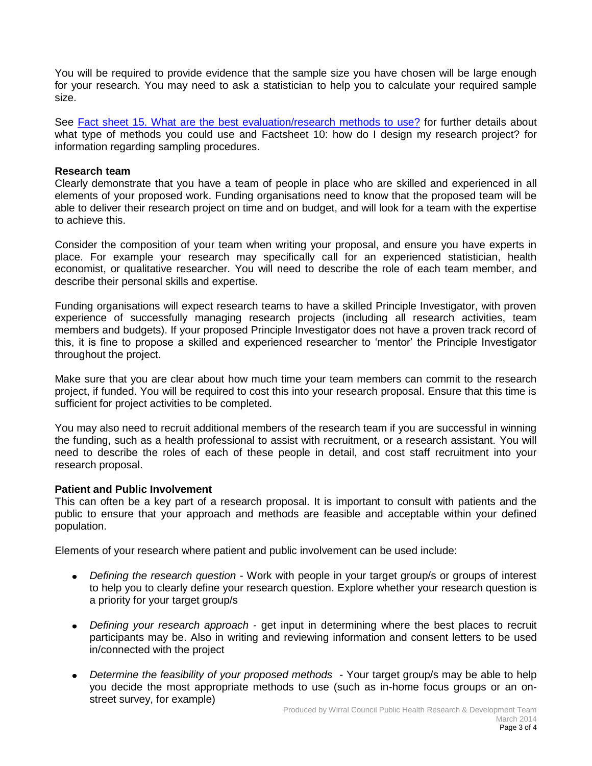You will be required to provide evidence that the sample size you have chosen will be large enough for your research. You may need to ask a statistician to help you to calculate your required sample size.

See [Fact sheet 15. What are the best evaluation/research methods to use?](http://info.wirral.nhs.uk/intelligencehub/howtofact-sheetsonevidence&research.html) for further details about what type of methods you could use and Factsheet 10: how do I design my research project? for information regarding sampling procedures.

### **Research team**

Clearly demonstrate that you have a team of people in place who are skilled and experienced in all elements of your proposed work. Funding organisations need to know that the proposed team will be able to deliver their research project on time and on budget, and will look for a team with the expertise to achieve this.

Consider the composition of your team when writing your proposal, and ensure you have experts in place. For example your research may specifically call for an experienced statistician, health economist, or qualitative researcher. You will need to describe the role of each team member, and describe their personal skills and expertise.

Funding organisations will expect research teams to have a skilled Principle Investigator, with proven experience of successfully managing research projects (including all research activities, team members and budgets). If your proposed Principle Investigator does not have a proven track record of this, it is fine to propose a skilled and experienced researcher to 'mentor' the Principle Investigator throughout the project.

Make sure that you are clear about how much time your team members can commit to the research project, if funded. You will be required to cost this into your research proposal. Ensure that this time is sufficient for project activities to be completed.

You may also need to recruit additional members of the research team if you are successful in winning the funding, such as a health professional to assist with recruitment, or a research assistant. You will need to describe the roles of each of these people in detail, and cost staff recruitment into your research proposal.

## **Patient and Public Involvement**

This can often be a key part of a research proposal. It is important to consult with patients and the public to ensure that your approach and methods are feasible and acceptable within your defined population.

Elements of your research where patient and public involvement can be used include:

- *Defining the research question* Work with people in your target group/s or groups of interest to help you to clearly define your research question. Explore whether your research question is a priority for your target group/s
- *Defining your research approach* get input in determining where the best places to recruit participants may be. Also in writing and reviewing information and consent letters to be used in/connected with the project
- *Determine the feasibility of your proposed methods* Your target group/s may be able to help you decide the most appropriate methods to use (such as in-home focus groups or an onstreet survey, for example)